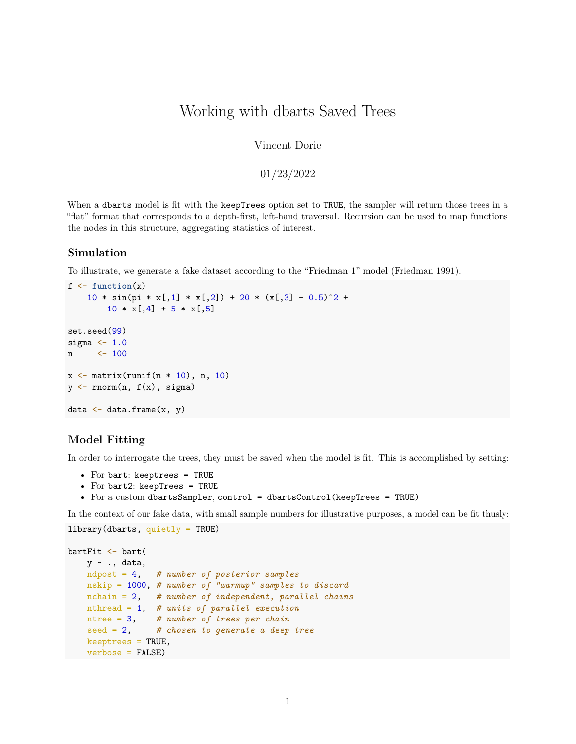# Working with dbarts Saved Trees

Vincent Dorie

```
01/23/2022
```
When a dbarts model is fit with the keepTrees option set to TRUE, the sampler will return those trees in a "flat" format that corresponds to a depth-first, left-hand traversal. Recursion can be used to map functions the nodes in this structure, aggregating statistics of interest.

#### **Simulation**

To illustrate, we generate a fake dataset according to the "Friedman 1" model (Friedman 1991).

```
f \leftarrow function(x)10 * sin(pi * x[,1] * x[,2]) + 20 * (x[,3] - 0.5)^2 +10 * x[, 4] + 5 * x[, 5]set.seed(99)
sigma \leq -1.0n <- 100
x \leftarrow \text{matrix}(\text{runif}(n * 10), n, 10)y \leftarrow \text{rnorm}(n, f(x), \text{sigma})data \leftarrow data.frame(x, y)
```
#### **Model Fitting**

In order to interrogate the trees, they must be saved when the model is fit. This is accomplished by setting:

- For bart: keeptrees = TRUE
- For bart2: keepTrees = TRUE
- For a custom dbartsSampler, control = dbartsControl(keepTrees = TRUE)

In the context of our fake data, with small sample numbers for illustrative purposes, a model can be fit thusly:  $\text{library}(dbarts, \text{ quietly} = \text{TRUE})$ 

```
bartFit <- bart(
   y ~ ., data,
   ndpost = 4, # number of posterior samples
   nskip = 1000, # number of "warmup" samples to discard
   nchain = 2, # number of independent, parallel chains
   nthread = 1, # units of parallel execution
   ntree = 3, # number of trees per chain
   seed = 2, # chosen to generate a deep tree
   keeptrees = TRUE,
   verbose = FALSE)
```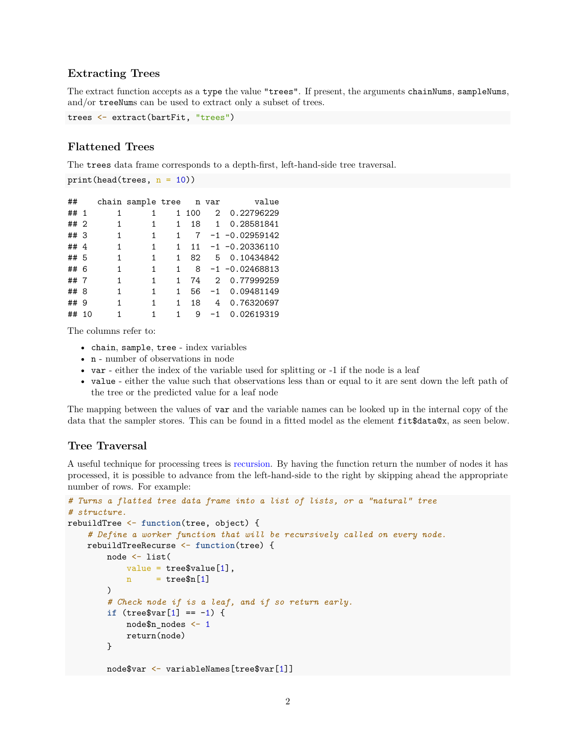# **Extracting Trees**

The extract function accepts as a type the value "trees". If present, the arguments chainNums, sampleNums, and/or treeNums can be used to extract only a subset of trees.

trees <- extract(bartFit, "trees")

#### **Flattened Trees**

The trees data frame corresponds to a depth-first, left-hand-side tree traversal.

```
print(head(trees, n = 10))
```

| ##   |    |   | chain sample tree |    | n var |                   | value              |
|------|----|---|-------------------|----|-------|-------------------|--------------------|
| ## 1 |    | 1 |                   | 1. | 100   | $\mathcal{D}_{1}$ | 0.22796229         |
| ##2  |    | 1 | 1                 | 1  | 18    | 1                 | 0.28581841         |
| ## 3 |    | 1 | 1                 | 1  | 7     |                   | $-1$ $-0.02959142$ |
| ##4  |    | 1 | 1                 | 1  | 11    |                   | $-1$ $-0.20336110$ |
| ## 5 |    | 1 | 1                 | 1  | 82    | Б.                | 0.10434842         |
| ## 6 |    | 1 | 1                 | 1  | 8     |                   | $-1$ $-0.02468813$ |
| ##7  |    | 1 | 1                 | 1  | 74    | 2                 | 0.77999259         |
| ## 8 |    | 1 | 1                 | 1  | 56    | $-1$              | 0.09481149         |
| ##   | -9 | 1 | 1                 | 1  | 18    | 4                 | 0.76320697         |
| ##   | 10 |   |                   | 1  | 9     | -1                | 0.02619319         |

The columns refer to:

- chain, sample, tree index variables
- n number of observations in node
- var either the index of the variable used for splitting or -1 if the node is a leaf
- value either the value such that observations less than or equal to it are sent down the left path of the tree or the predicted value for a leaf node

The mapping between the values of var and the variable names can be looked up in the internal copy of the data that the sampler stores. This can be found in a fitted model as the element  $fit$data@x$ , as seen below.

#### **Tree Traversal**

A useful technique for processing trees is [recursion.](https://en.wikipedia.org/wiki/Recursion_%28computer_science%29) By having the function return the number of nodes it has processed, it is possible to advance from the left-hand-side to the right by skipping ahead the appropriate number of rows. For example:

```
# Turns a flatted tree data frame into a list of lists, or a "natural" tree
# structure.
rebuildTree <- function(tree, object) {
    # Define a worker function that will be recursively called on every node.
   rebuildTreeRecurse <- function(tree) {
       node <- list(
            value = tree\$value[1],
            n = \text{tree\$n[1]})
        # Check node if is a leaf, and if so return early.
        if (tree$var[1] == -1) {
            node$n_nodes <- 1
            return(node)
        }
        node$var <- variableNames[tree$var[1]]
```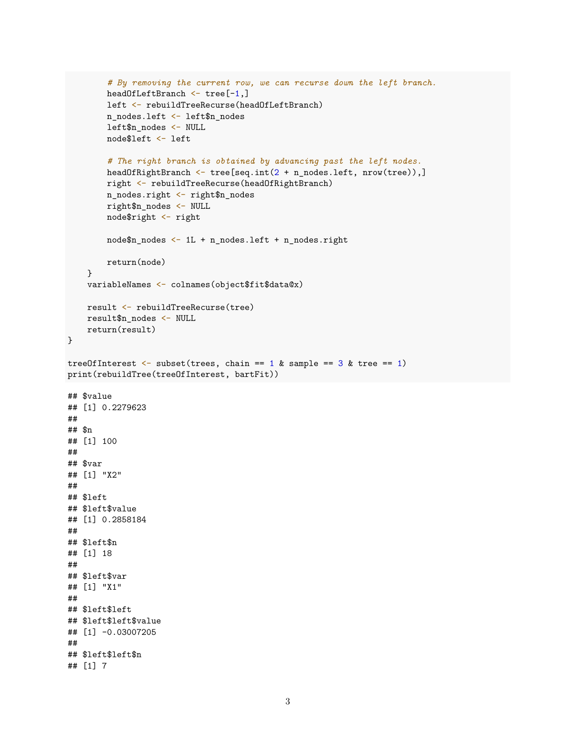```
# By removing the current row, we can recurse down the left branch.
        headOfLeftBranch <- tree[-1,]
        left <- rebuildTreeRecurse(headOfLeftBranch)
        n nodes.left <- left$n nodes
        left$n_nodes <- NULL
        node$left <- left
        # The right branch is obtained by advancing past the left nodes.
        headOfRightBranch <- tree[seq.int(2 + n_nodes.left, nrow(tree)),]
        right <- rebuildTreeRecurse(headOfRightBranch)
        n_nodes.right <- right$n_nodes
        right$n_nodes <- NULL
        node$right <- right
        node$n_nodes <- 1L + n_nodes.left + n_nodes.right
        return(node)
    }
    variableNames <- colnames(object$fit$data@x)
    result <- rebuildTreeRecurse(tree)
   result$n_nodes <- NULL
    return(result)
}
treeOfInterest \leq subset(trees, chain == 1 & sample == 3 & tree == 1)
print(rebuildTree(treeOfInterest, bartFit))
## $value
## [1] 0.2279623
##
## $n
## [1] 100
##
## $var
## [1] "X2"
##
## $left
## $left$value
## [1] 0.2858184
##
## $left$n
## [1] 18
##
## $left$var
## [1] "X1"
##
## $left$left
## $left$left$value
## [1] -0.03007205
##
## $left$left$n
## [1] 7
```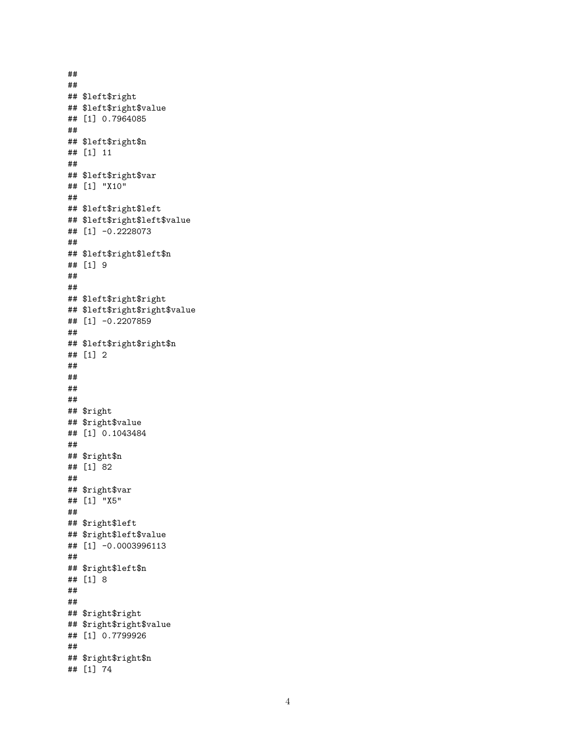## ## ## \$left\$right ## \$left\$right\$value ## [1] 0.7964085 ## ## \$left\$right\$n ## [1] 11 ## ## \$left\$right\$var ## [1] "X10" ## ## \$left\$right\$left ## \$left\$right\$left\$value ## [1] -0.2228073 ## ## \$left\$right\$left\$n ## [1] 9 ## ## ## \$left\$right\$right ## \$left\$right\$right\$value ## [1] -0.2207859 ## ## \$left\$right\$right\$n ## [1] 2 ## ## ## ## ## \$right ## \$right\$value ## [1] 0.1043484 ## ## \$right\$n ## [1] 82 ## ## \$right\$var ## [1] "X5" ## ## \$right\$left ## \$right\$left\$value ## [1] -0.0003996113 ## ## \$right\$left\$n ## [1] 8 ## ## ## \$right\$right ## \$right\$right\$value ## [1] 0.7799926 ## ## \$right\$right\$n ## [1] 74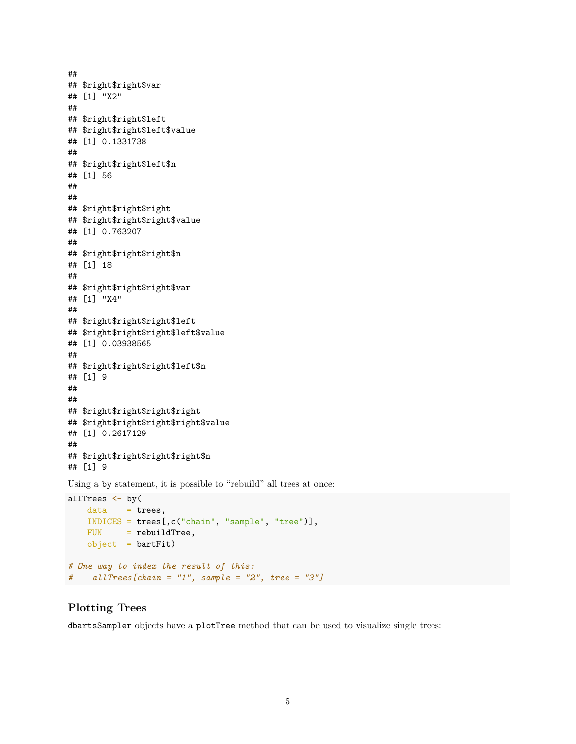## ## \$right\$right\$var ## [1] "X2" ## ## \$right\$right\$left ## \$right\$right\$left\$value ## [1] 0.1331738 ## ## \$right\$right\$left\$n ## [1] 56 ## ## ## \$right\$right\$right ## \$right\$right\$right\$value ## [1] 0.763207 ## ## \$right\$right\$right\$n ## [1] 18 ## ## \$right\$right\$right\$var ## [1] "X4" ## ## \$right\$right\$right\$left ## \$right\$right\$right\$left\$value ## [1] 0.03938565 ## ## \$right\$right\$right\$left\$n ## [1] 9 ## ## ## \$right\$right\$right\$right ## \$right\$right\$right\$right\$value ## [1] 0.2617129 ## ## \$right\$right\$right\$right\$n ## [1] 9

Using a by statement, it is possible to "rebuild" all trees at once:

```
allTrees \leftarrow by (
   data = trees,INDICES = trees[,c("chain", "sample", "tree")],
   FUN = rebuildTree,
   object = bartFit)# One way to index the result of this:
# allTrees[chain = "1", sample = "2", tree = "3"]
```
# **Plotting Trees**

dbartsSampler objects have a plotTree method that can be used to visualize single trees: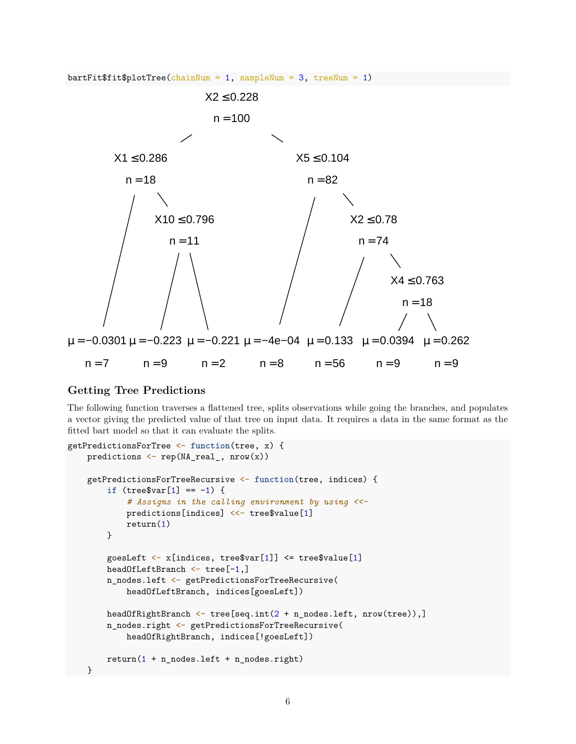$barFit$ \$fit\$plotTree(chainNum = 1, sampleNum = 3, treeNum = 1)



# **Getting Tree Predictions**

The following function traverses a flattened tree, splits observations while going the branches, and populates a vector giving the predicted value of that tree on input data. It requires a data in the same format as the fitted bart model so that it can evaluate the splits.

```
getPredictionsForTree <- function(tree, x) {
    predictions \leftarrow \text{rep}(\text{NA\_real}_, \text{now}(x))getPredictionsForTreeRecursive <- function(tree, indices) {
        if (tree$var[1] == -1) {
            # Assigns in the calling environment by using <<-
            predictions[indices] <<- tree$value[1]
            return(1)
        }
        goesLeft <- x[indices, tree$var[1]] <= tree$value[1]
        headOfLeftBranch <- tree[-1,]
        n_nodes.left <- getPredictionsForTreeRecursive(
            headOfLeftBranch, indices[goesLeft])
        headOfRightBranch <- tree[seq.int(2 + n_nodes.left, nrow(tree)),]
        n_nodes.right <- getPredictionsForTreeRecursive(
            headOfRightBranch, indices[!goesLeft])
        return(1 + n nodes.left + n nodes.right)}
```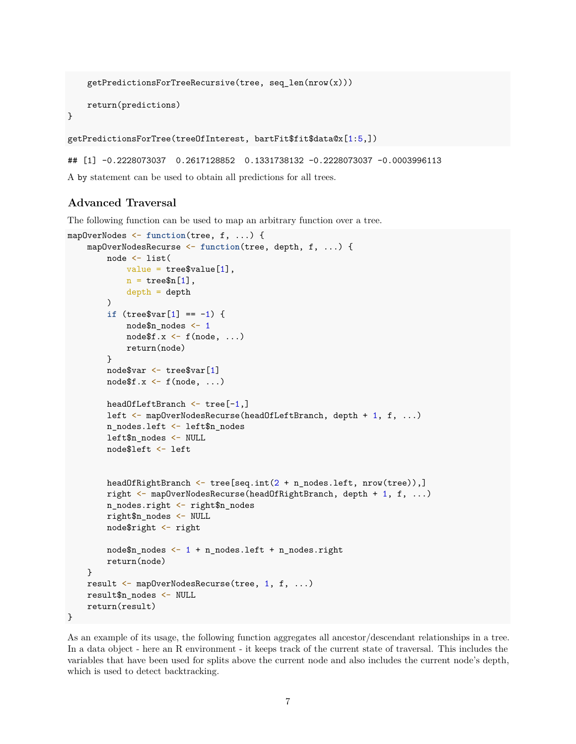```
getPredictionsForTreeRecursive(tree, seq_len(nrow(x)))
return(predictions)
```

```
getPredictionsForTree(treeOfInterest, bartFit$fit$data@x[1:5,])
```
## [1] -0.2228073037 0.2617128852 0.1331738132 -0.2228073037 -0.0003996113

A by statement can be used to obtain all predictions for all trees.

# **Advanced Traversal**

}

The following function can be used to map an arbitrary function over a tree.

```
mapOverNodes <- function(tree, f, ...) {
    mapOverNodesRecurse <- function(tree, depth, f, ...) {
        node <- list(
            value = tree$value[1],
            n = \text{tree\$n[1],}depth = depth)
        if (tree$var[1] == -1) {
            node$n_nodes <- 1
            nodef.x <- f(node, ...)return(node)
        }
        node$var <- tree$var[1]
        nodef.x \leftarrow f(node, ...)
        headOfLeftBranch \leftarrow tree[-1,]left <- mapOverNodesRecurse(headOfLeftBranch, depth + 1, f, ...)
        n_nodes.left <- left$n_nodes
        left$n_nodes <- NULL
        node$left <- left
        headOfRightBranch <- tree[seq.int(2 + n_nodes.left, nrow(tree)),]
        right <- mapOverNodesRecurse(headOfRightBranch, depth + 1, f, ...)
        n_nodes.right <- right$n_nodes
        right$n_nodes <- NULL
        node$right <- right
        node$n_nodes <- 1 + n_nodes.left + n_nodes.right
        return(node)
    }
    result <- mapOverNodesRecurse(tree, 1, f, ...)
    result$n_nodes <- NULL
    return(result)
}
```
As an example of its usage, the following function aggregates all ancestor/descendant relationships in a tree. In a data object - here an R environment - it keeps track of the current state of traversal. This includes the variables that have been used for splits above the current node and also includes the current node's depth, which is used to detect backtracking.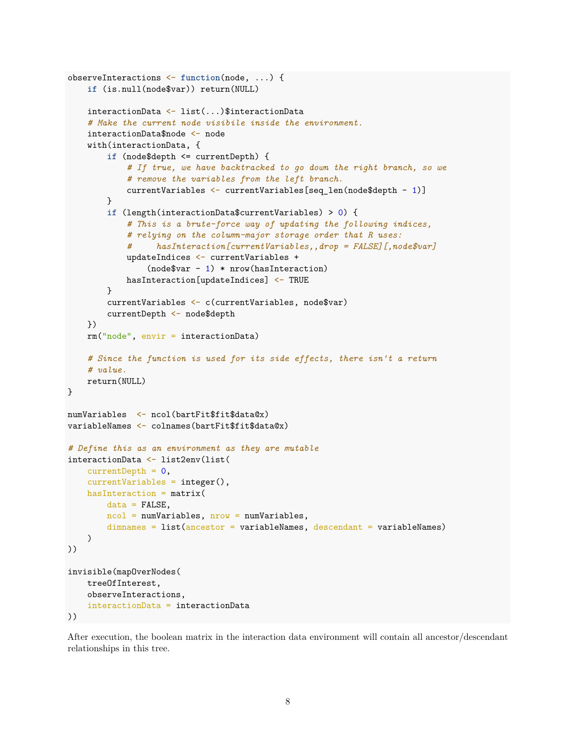```
observeInteractions <- function(node, ...) {
    if (is.null(node$var)) return(NULL)
    interactionData <- list(...)$interactionData
    # Make the current node visibile inside the environment.
    interactionData$node <- node
   with(interactionData, {
        if (node$depth <= currentDepth) {
            # If true, we have backtracked to go down the right branch, so we
            # remove the variables from the left branch.
            currentVariables <- currentVariables[seq_len(node$depth - 1)]
        }
        if (length(interactionData$currentVariables) > 0) {
            # This is a brute-force way of updating the following indices,
            # relying on the column-major storage order that R uses:
            # hasInteraction[currentVariables,,drop = FALSE][,node$var]
            updateIndices <- currentVariables +
                (node$var - 1) * new(hasInteraction)hasInteraction[updateIndices] <- TRUE
       }
        currentVariables <- c(currentVariables, node$var)
        currentDepth <- node$depth
   })
   rm("node", envir = interactionData)
    # Since the function is used for its side effects, there isn't a return
    # value.
   return(NULL)
}
numVariables <- ncol(bartFit$fit$data@x)
variableNames <- colnames(bartFit$fit$data@x)
# Define this as an environment as they are mutable
interactionData <- list2env(list(
   currentDepth = 0,
   currentVariables = integer(),
   hasInteraction = matrix(
       data = FALSE,ncol = numVariables, nrow = numVariables,
       dimnames = list(ancestor = variableNames, descendant = variableNames)
   )
))
invisible(mapOverNodes(
   treeOfInterest,
   observeInteractions,
    interactionData = interactionData
))
```
After execution, the boolean matrix in the interaction data environment will contain all ancestor/descendant relationships in this tree.